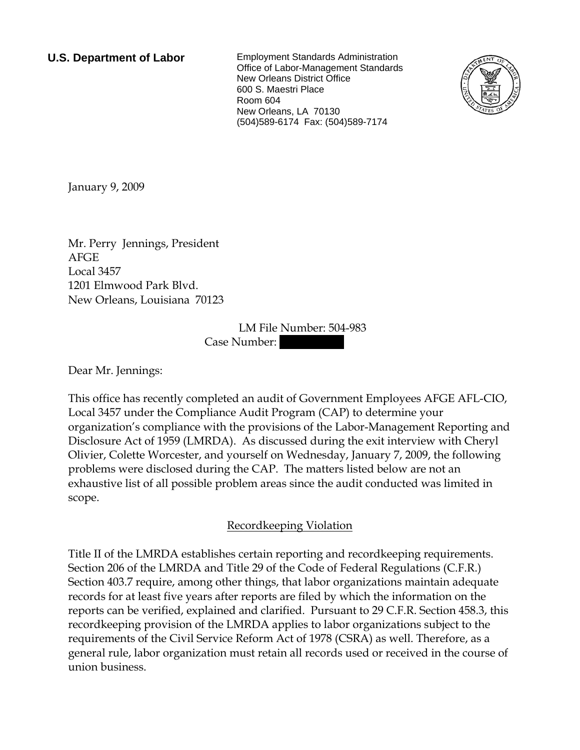**U.S. Department of Labor** Employment Standards Administration Office of Labor-Management Standards New Orleans District Office 600 S. Maestri Place Room 604 New Orleans, LA 70130 (504)589-6174 Fax: (504)589-7174



<span id="page-0-0"></span>January 9, 2009

[Mr.](#page-0-0) [Perry Jennings](#page-0-0), [President](#page-0-0)  [AFGE](#page-0-0)  [Local 3457](#page-0-0)  [1201 Elmwood Park Blvd.](#page-0-0)  [New Orleans, Louisiana 70123](#page-0-0) 

> LM File Number: [504-983](#page-0-0)  Case Number:

Dear [Mr.](#page-0-0) [Jennings:](#page-0-0)

This office has recently completed an audit of Government Employees AFGE AFL-CIO, Local 3457 under the Compliance Audit Program (CAP) to determine your organization's compliance with the provisions of the Labor-Management Reporting and Disclosure Act of 1959 (LMRDA). As discussed during the exit interview with [Cheryl](#page-0-0)  [Olivier, Colette Worcester, and yourself](#page-0-0) on Wednesday, January 7, 2009, the following problems were disclosed during the CAP. The matters listed below are not an exhaustive list of all possible problem areas since the audit conducted was limited in scope.

Recordkeeping Violation

Title II of the LMRDA establishes certain reporting and recordkeeping requirements. Section 206 of the LMRDA and Title 29 of the Code of Federal Regulations (C.F.R.) Section 403.7 require, among other things, that labor organizations maintain adequate records for at least five years after reports are filed by which the information on the reports can be verified, explained and clarified. Pursuant to 29 C.F.R. Section 458.3, this recordkeeping provision of the LMRDA applies to labor organizations subject to the requirements of the Civil Service Reform Act of 1978 (CSRA) as well. Therefore, as a general rule, labor organization must retain all records used or received in the course of union business.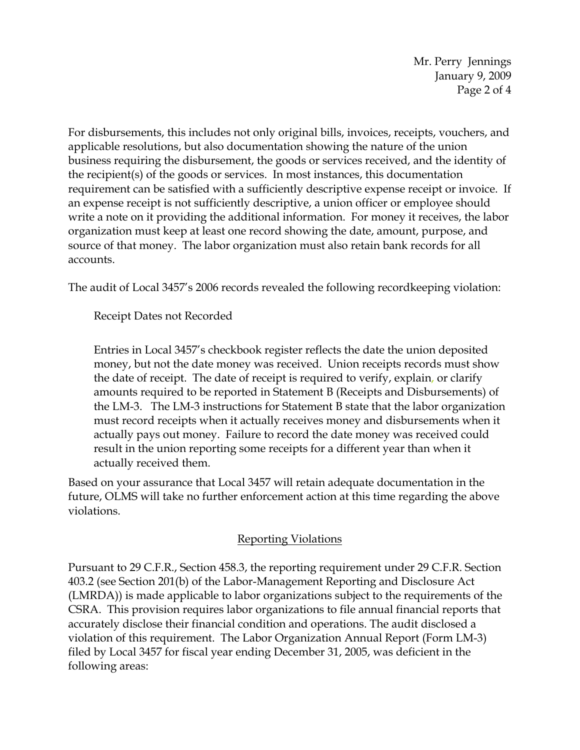Mr. Perry Jennings January 9, 2009 Page 2 of 4

For disbursements, this includes not only original bills, invoices, receipts, vouchers, and applicable resolutions, but also documentation showing the nature of the union business requiring the disbursement, the goods or services received, and the identity of the recipient(s) of the goods or services. In most instances, this documentation requirement can be satisfied with a sufficiently descriptive expense receipt or invoice. If an expense receipt is not sufficiently descriptive, a union officer or employee should write a note on it providing the additional information. For money it receives, the labor organization must keep at least one record showing the date, amount, purpose, and source of that money. The labor organization must also retain bank records for all accounts.

The audit of Local 3457's 2006 records revealed the following recordkeeping violation:

Receipt Dates not Recorded

Entries in Local 3457's checkbook register reflects the date the union deposited money, but not the date money was received. Union receipts records must show the date of receipt. The date of receipt is required to verify, explain, or clarify amounts required to be reported in Statement B (Receipts and Disbursements) of the LM-3. The LM-3 instructions for Statement B state that the labor organization must record receipts when it actually receives money and disbursements when it actually pays out money. Failure to record the date money was received could result in the union reporting some receipts for a different year than when it actually received them.

Based on your assurance that Local 3457 will retain adequate documentation in the future, OLMS will take no further enforcement action at this time regarding the above violations.

## Reporting Violations

Pursuant to 29 C.F.R., Section 458.3, the reporting requirement under 29 C.F.R. Section 403.2 (see Section 201(b) of the Labor-Management Reporting and Disclosure Act (LMRDA)) is made applicable to labor organizations subject to the requirements of the CSRA. This provision requires labor organizations to file annual financial reports that accurately disclose their financial condition and operations. The audit disclosed a violation of this requirement. The Labor Organization Annual Report (Form LM-3) filed by Local 3457 for fiscal year ending December 31, 2005, was deficient in the following areas: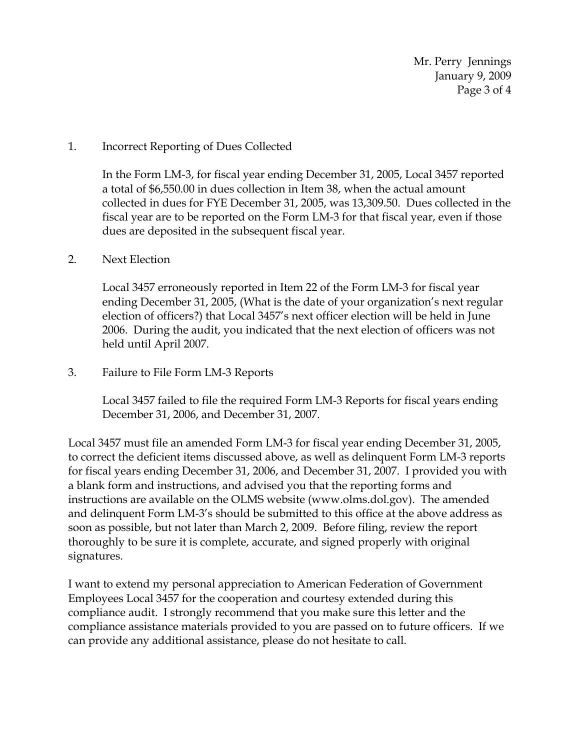Mr. Perry Jennings January 9, 2009 Page 3 of 4

## 1. Incorrect Reporting of Dues Collected

In the Form LM-3, for fiscal year ending December 31, 2005, Local 3457 reported a total of \$6,550.00 in dues collection in Item 38, when the actual amount collected in dues for FYE December 31, 2005, was 13,309.50. Dues collected in the fiscal year are to be reported on the Form LM-3 for that fiscal year, even if those dues are deposited in the subsequent fiscal year.

## 2. Next Election

Local 3457 erroneously reported in Item 22 of the Form LM-3 for fiscal year ending December 31, 2005, (What is the date of your organization's next regular election of officers?) that Local 3457's next officer election will be held in June 2006. During the audit, you indicated that the next election of officers was not held until April 2007.

## 3. Failure to File Form LM-3 Reports

Local 3457 failed to file the required Form LM-3 Reports for fiscal years ending December 31, 2006, and December 31, 2007.

Local 3457 must file an amended Form LM-3 for fiscal year ending December 31, 2005, to correct the deficient items discussed above, as well as delinquent Form LM-3 reports for fiscal years ending December 31, 2006, and December 31, 2007. I provided you with a blank form and instructions, and advised you that the reporting forms and instructions are available on the OLMS website (www.olms.dol.gov). The amended and delinquent Form LM-3's should be submitted to this office at the above address as soon as possible, but not later than March 2, 2009. Before filing, review the report thoroughly to be sure it is complete, accurate, and signed properly with original signatures.

I want to extend my personal appreciation to [American Federation of Government](#page-0-0)  [Employees Local 3457](#page-0-0) for the cooperation and courtesy extended during this compliance audit. I strongly recommend that you make sure this letter and the compliance assistance materials provided to you are passed on to future officers. If we can provide any additional assistance, please do not hesitate to call.